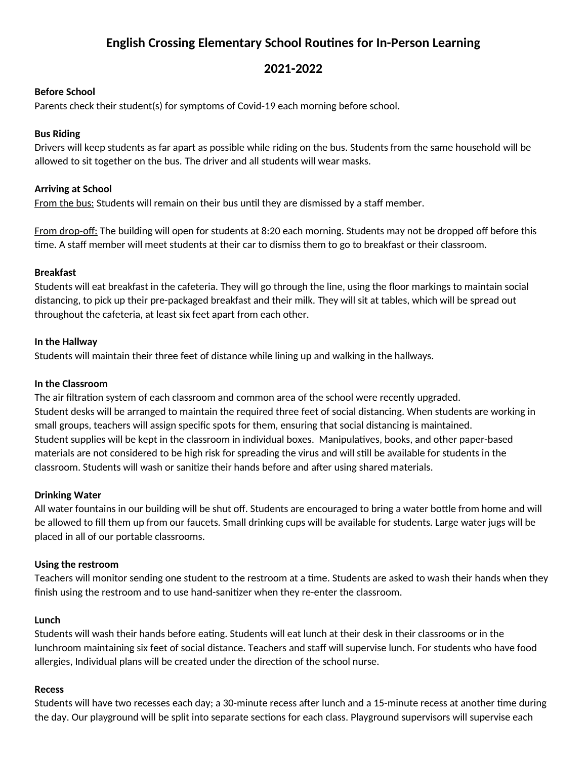# **English Crossing Elementary School Routines for In-Person Learning**

## **2021-2022**

### **Before School**

Parents check their student(s) for symptoms of Covid-19 each morning before school.

#### **Bus Riding**

Drivers will keep students as far apart as possible while riding on the bus. Students from the same household will be allowed to sit together on the bus. The driver and all students will wear masks.

#### **Arriving at School**

From the bus: Students will remain on their bus until they are dismissed by a staff member.

From drop-off: The building will open for students at 8:20 each morning. Students may not be dropped off before this time. A staff member will meet students at their car to dismiss them to go to breakfast or their classroom.

#### **Breakfast**

Students will eat breakfast in the cafeteria. They will go through the line, using the floor markings to maintain social distancing, to pick up their pre-packaged breakfast and their milk. They will sit at tables, which will be spread out throughout the cafeteria, at least six feet apart from each other.

#### **In the Hallway**

Students will maintain their three feet of distance while lining up and walking in the hallways.

#### **In the Classroom**

The air filtration system of each classroom and common area of the school were recently upgraded. Student desks will be arranged to maintain the required three feet of social distancing. When students are working in small groups, teachers will assign specific spots for them, ensuring that social distancing is maintained. Student supplies will be kept in the classroom in individual boxes. Manipulatives, books, and other paper-based materials are not considered to be high risk for spreading the virus and will still be available for students in the classroom. Students will wash or sanitize their hands before and after using shared materials.

#### **Drinking Water**

All water fountains in our building will be shut off. Students are encouraged to bring a water bottle from home and will be allowed to fill them up from our faucets. Small drinking cups will be available for students. Large water jugs will be placed in all of our portable classrooms.

#### **Using the restroom**

Teachers will monitor sending one student to the restroom at a time. Students are asked to wash their hands when they finish using the restroom and to use hand-sanitizer when they re-enter the classroom.

#### **Lunch**

Students will wash their hands before eating. Students will eat lunch at their desk in their classrooms or in the lunchroom maintaining six feet of social distance. Teachers and staff will supervise lunch. For students who have food allergies, Individual plans will be created under the direction of the school nurse.

#### **Recess**

Students will have two recesses each day; a 30-minute recess after lunch and a 15-minute recess at another time during the day. Our playground will be split into separate sections for each class. Playground supervisors will supervise each